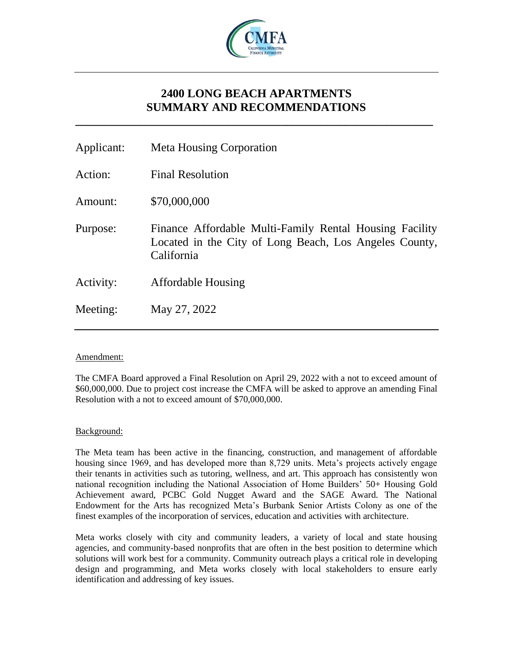

# **2400 LONG BEACH APARTMENTS SUMMARY AND RECOMMENDATIONS**

**\_\_\_\_\_\_\_\_\_\_\_\_\_\_\_\_\_\_\_\_\_\_\_\_\_\_\_\_\_\_\_\_\_\_\_\_\_\_\_\_\_\_\_\_\_\_\_\_\_\_\_\_\_\_\_\_\_\_\_\_\_**

| Applicant: | <b>Meta Housing Corporation</b>                                                                                                 |
|------------|---------------------------------------------------------------------------------------------------------------------------------|
| Action:    | <b>Final Resolution</b>                                                                                                         |
| Amount:    | \$70,000,000                                                                                                                    |
| Purpose:   | Finance Affordable Multi-Family Rental Housing Facility<br>Located in the City of Long Beach, Los Angeles County,<br>California |
| Activity:  | <b>Affordable Housing</b>                                                                                                       |
| Meeting:   | May 27, 2022                                                                                                                    |

# Amendment:

The CMFA Board approved a Final Resolution on April 29, 2022 with a not to exceed amount of \$60,000,000. Due to project cost increase the CMFA will be asked to approve an amending Final Resolution with a not to exceed amount of \$70,000,000.

### Background:

The Meta team has been active in the financing, construction, and management of affordable housing since 1969, and has developed more than 8,729 units. Meta's projects actively engage their tenants in activities such as tutoring, wellness, and art. This approach has consistently won national recognition including the National Association of Home Builders' 50+ Housing Gold Achievement award, PCBC Gold Nugget Award and the SAGE Award. The National Endowment for the Arts has recognized Meta's Burbank Senior Artists Colony as one of the finest examples of the incorporation of services, education and activities with architecture.

Meta works closely with city and community leaders, a variety of local and state housing agencies, and community‐based nonprofits that are often in the best position to determine which solutions will work best for a community. Community outreach plays a critical role in developing design and programming, and Meta works closely with local stakeholders to ensure early identification and addressing of key issues.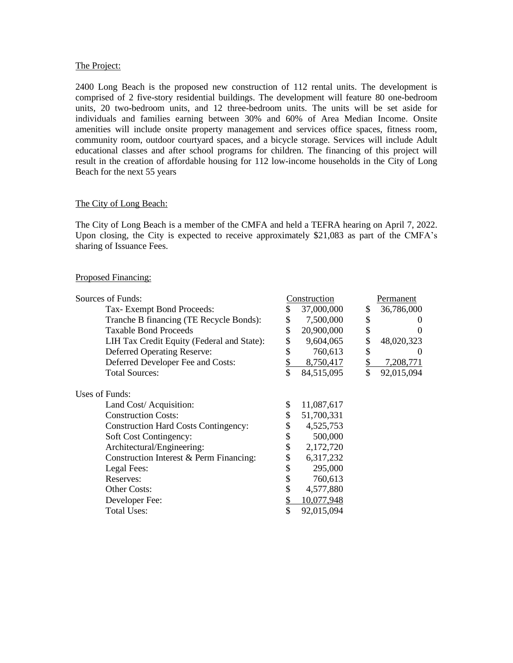#### The Project:

2400 Long Beach is the proposed new construction of 112 rental units. The development is comprised of 2 five-story residential buildings. The development will feature 80 one-bedroom units, 20 two-bedroom units, and 12 three-bedroom units. The units will be set aside for individuals and families earning between 30% and 60% of Area Median Income. Onsite amenities will include onsite property management and services office spaces, fitness room, community room, outdoor courtyard spaces, and a bicycle storage. Services will include Adult educational classes and after school programs for children. The financing of this project will result in the creation of affordable housing for 112 low-income households in the City of Long Beach for the next 55 years

# The City of Long Beach:

The City of Long Beach is a member of the CMFA and held a TEFRA hearing on April 7, 2022. Upon closing, the City is expected to receive approximately \$21,083 as part of the CMFA's sharing of Issuance Fees.

### Proposed Financing:

| Sources of Funds:                           |    | Construction | Permanent        |
|---------------------------------------------|----|--------------|------------------|
| Tax-Exempt Bond Proceeds:                   | \$ | 37,000,000   | \$<br>36,786,000 |
| Tranche B financing (TE Recycle Bonds):     |    | 7,500,000    | \$               |
| <b>Taxable Bond Proceeds</b>                | \$ | 20,900,000   | \$<br>$\theta$   |
| LIH Tax Credit Equity (Federal and State):  | \$ | 9,604,065    | \$<br>48,020,323 |
| Deferred Operating Reserve:                 |    | 760,613      | \$<br>$\theta$   |
| Deferred Developer Fee and Costs:           |    | 8,750,417    | 7,208,771        |
| <b>Total Sources:</b>                       | \$ | 84,515,095   | \$<br>92,015,094 |
| Uses of Funds:                              |    |              |                  |
| Land Cost/ Acquisition:                     |    | 11,087,617   |                  |
| <b>Construction Costs:</b>                  |    | 51,700,331   |                  |
| <b>Construction Hard Costs Contingency:</b> |    | 4,525,753    |                  |
| Soft Cost Contingency:                      | \$ | 500,000      |                  |
| Architectural/Engineering:                  | \$ | 2,172,720    |                  |
| Construction Interest & Perm Financing:     |    | 6,317,232    |                  |
| Legal Fees:                                 | \$ | 295,000      |                  |
| Reserves:                                   | \$ | 760,613      |                  |
| Other Costs:                                |    | 4,577,880    |                  |
| Developer Fee:                              |    | 10,077,948   |                  |
| <b>Total Uses:</b>                          |    | 92,015,094   |                  |